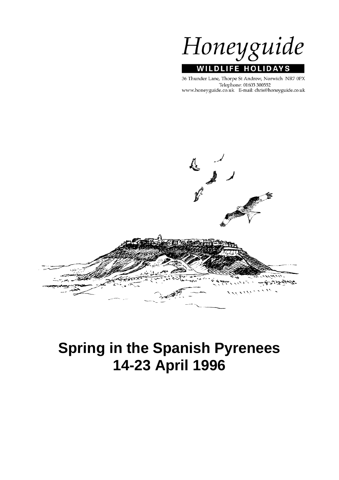

36 Thunder Lane, Thorpe St Andrew, Norwich NR7 0PX Telephone: 01603 300552 www.honeyguide.co.uk E-mail: chris@honeyguide.co.uk



# **Spring in the Spanish Pyrenees 14-23 April 1996**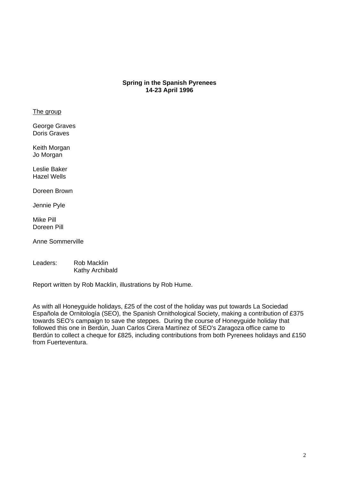# **Spring in the Spanish Pyrenees 14-23 April 1996**

#### The group

George Graves Doris Graves

Keith Morgan Jo Morgan

Leslie Baker Hazel Wells

Doreen Brown

Jennie Pyle

Mike Pill Doreen Pill

Anne Sommerville

Leaders: Rob Macklin Kathy Archibald

Report written by Rob Macklin, illustrations by Rob Hume.

As with all Honeyguide holidays, £25 of the cost of the holiday was put towards La Sociedad Española de Ornitología (SEO), the Spanish Ornithological Society, making a contribution of £375 towards SEO's campaign to save the steppes. During the course of Honeyguide holiday that followed this one in Berdún, Juan Carlos Cirera Martínez of SEO's Zaragoza office came to Berdún to collect a cheque for £825, including contributions from both Pyrenees holidays and £150 from Fuerteventura.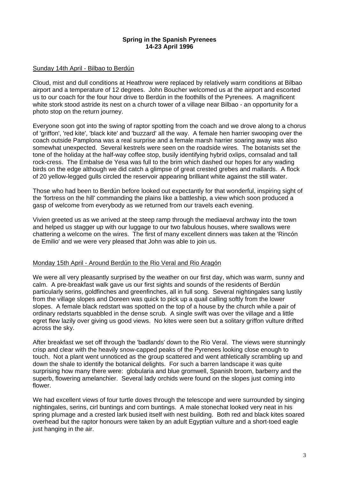#### **Spring in the Spanish Pyrenees 14-23 April 1996**

### Sunday 14th April - Bilbao to Berdún

Cloud, mist and dull conditions at Heathrow were replaced by relatively warm conditions at Bilbao airport and a temperature of 12 degrees. John Boucher welcomed us at the airport and escorted us to our coach for the four hour drive to Berdún in the foothills of the Pyrenees. A magnificent white stork stood astride its nest on a church tower of a village near Bilbao - an opportunity for a photo stop on the return journey.

Everyone soon got into the swing of raptor spotting from the coach and we drove along to a chorus of 'griffon', 'red kite', 'black kite' and 'buzzard' all the way. A female hen harrier swooping over the coach outside Pamplona was a real surprise and a female marsh harrier soaring away was also somewhat unexpected. Several kestrels were seen on the roadside wires. The botanists set the tone of the holiday at the half-way coffee stop, busily identifying hybrid oxlips, cornsalad and tall rock-cress. The Embalse de Yesa was full to the brim which dashed our hopes for any wading birds on the edge although we did catch a glimpse of great crested grebes and mallards. A flock of 20 yellow-legged gulls circled the reservoir appearing brilliant white against the still water.

Those who had been to Berdún before looked out expectantly for that wonderful, inspiring sight of the 'fortress on the hill' commanding the plains like a battleship, a view which soon produced a gasp of welcome from everybody as we returned from our travels each evening.

Vivien greeted us as we arrived at the steep ramp through the mediaeval archway into the town and helped us stagger up with our luggage to our two fabulous houses, where swallows were chattering a welcome on the wires. The first of many excellent dinners was taken at the 'Rincón de Emilio' and we were very pleased that John was able to join us.

#### Monday 15th April - Around Berdún to the Rio Veral and Rio Aragón

We were all very pleasantly surprised by the weather on our first day, which was warm, sunny and calm. A pre-breakfast walk gave us our first sights and sounds of the residents of Berdún particularly serins, goldfinches and greenfinches, all in full song. Several nightingales sang lustily from the village slopes and Doreen was quick to pick up a quail calling softly from the lower slopes. A female black redstart was spotted on the top of a house by the church while a pair of ordinary redstarts squabbled in the dense scrub. A single swift was over the village and a little egret flew lazily over giving us good views. No kites were seen but a solitary griffon vulture drifted across the sky.

After breakfast we set off through the 'badlands' down to the Rio Veral. The views were stunningly crisp and clear with the heavily snow-capped peaks of the Pyrenees looking close enough to touch. Not a plant went unnoticed as the group scattered and went athletically scrambling up and down the shale to identify the botanical delights. For such a barren landscape it was quite surprising how many there were: globularia and blue gromwell, Spanish broom, barberry and the superb, flowering amelanchier. Several lady orchids were found on the slopes just coming into flower.

We had excellent views of four turtle doves through the telescope and were surrounded by singing nightingales, serins, cirl buntings and corn buntings. A male stonechat looked very neat in his spring plumage and a crested lark busied itself with nest building. Both red and black kites soared overhead but the raptor honours were taken by an adult Egyptian vulture and a short-toed eagle just hanging in the air.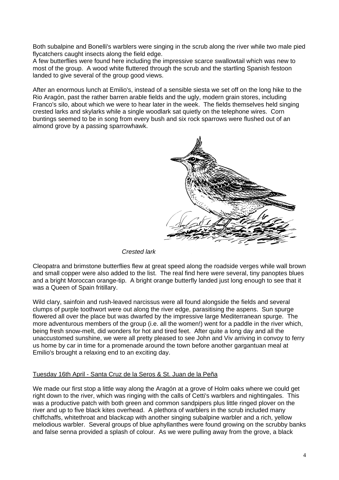Both subalpine and Bonelli's warblers were singing in the scrub along the river while two male pied flycatchers caught insects along the field edge.

A few butterflies were found here including the impressive scarce swallowtail which was new to most of the group. A wood white fluttered through the scrub and the startling Spanish festoon landed to give several of the group good views.

After an enormous lunch at Emilio's, instead of a sensible siesta we set off on the long hike to the Rio Aragón, past the rather barren arable fields and the ugly, modern grain stores, including Franco's silo, about which we were to hear later in the week. The fields themselves held singing crested larks and skylarks while a single woodlark sat quietly on the telephone wires. Corn buntings seemed to be in song from every bush and six rock sparrows were flushed out of an almond grove by a passing sparrowhawk.



*Crested lark*

Cleopatra and brimstone butterflies flew at great speed along the roadside verges while wall brown and small copper were also added to the list. The real find here were several, tiny panoptes blues and a bright Moroccan orange-tip. A bright orange butterfly landed just long enough to see that it was a Queen of Spain fritillary.

Wild clary, sainfoin and rush-leaved narcissus were all found alongside the fields and several clumps of purple toothwort were out along the river edge, parasitising the aspens. Sun spurge flowered all over the place but was dwarfed by the impressive large Mediterranean spurge. The more adventurous members of the group (i.e. all the women!) went for a paddle in the river which, being fresh snow-melt, did wonders for hot and tired feet. After quite a long day and all the unaccustomed sunshine, we were all pretty pleased to see John and Viv arriving in convoy to ferry us home by car in time for a promenade around the town before another gargantuan meal at Emilio's brought a relaxing end to an exciting day.

## Tuesday 16th April - Santa Cruz de la Seros & St. Juan de la Peña

We made our first stop a little way along the Aragón at a grove of Holm oaks where we could get right down to the river, which was ringing with the calls of Cetti's warblers and nightingales. This was a productive patch with both green and common sandpipers plus little ringed plover on the river and up to five black kites overhead. A plethora of warblers in the scrub included many chiffchaffs, whitethroat and blackcap with another singing subalpine warbler and a rich, yellow melodious warbler. Several groups of blue aphyllanthes were found growing on the scrubby banks and false senna provided a splash of colour. As we were pulling away from the grove, a black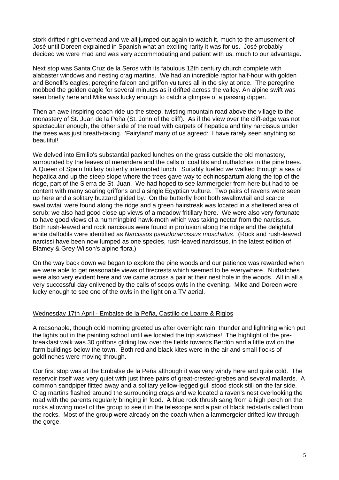stork drifted right overhead and we all jumped out again to watch it, much to the amusement of José until Doreen explained in Spanish what an exciting rarity it was for us. José probably decided we were mad and was very accommodating and patient with us, much to our advantage.

Next stop was Santa Cruz de la Seros with its fabulous 12th century church complete with alabaster windows and nesting crag martins. We had an incredible raptor half-hour with golden and Bonelli's eagles, peregrine falcon and griffon vultures all in the sky at once. The peregrine mobbed the golden eagle for several minutes as it drifted across the valley. An alpine swift was seen briefly here and Mike was lucky enough to catch a glimpse of a passing dipper.

Then an awe-inspiring coach ride up the steep, twisting mountain road above the village to the monastery of St. Juan de la Peña (St. John of the cliff). As if the view over the cliff-edge was not spectacular enough, the other side of the road with carpets of hepatica and tiny narcissus under the trees was just breath-taking. 'Fairyland' many of us agreed: I have rarely seen anything so beautiful!

We delved into Emilio's substantial packed lunches on the grass outside the old monastery, surrounded by the leaves of merendera and the calls of coal tits and nuthatches in the pine trees. A Queen of Spain fritillary butterfly interrupted lunch! Suitably fuelled we walked through a sea of hepatica and up the steep slope where the trees gave way to echinospartum along the top of the ridge, part of the Sierra de St. Juan. We had hoped to see lammergeier from here but had to be content with many soaring griffons and a single Egyptian vulture. Two pairs of ravens were seen up here and a solitary buzzard glided by. On the butterfly front both swallowtail and scarce swallowtail were found along the ridge and a green hairstreak was located in a sheltered area of scrub; we also had good close up views of a meadow fritillary here. We were also very fortunate to have good views of a hummingbird hawk-moth which was taking nectar from the narcissus. Both rush-leaved and rock narcissus were found in profusion along the ridge and the delightful white daffodils were identified as *Narcissus pseudonarcissus moschatus*. (Rock and rush-leaved narcissi have been now lumped as one species, rush-leaved narcissus, in the latest edition of Blamey & Grey-Wilson's alpine flora.)

On the way back down we began to explore the pine woods and our patience was rewarded when we were able to get reasonable views of firecrests which seemed to be everywhere. Nuthatches were also very evident here and we came across a pair at their nest hole in the woods. All in all a very successful day enlivened by the calls of scops owls in the evening. Mike and Doreen were lucky enough to see one of the owls in the light on a TV aerial.

## Wednesday 17th April - Embalse de la Peña, Castillo de Loarre & Riglos

A reasonable, though cold morning greeted us after overnight rain, thunder and lightning which put the lights out in the painting school until we located the trip switches! The highlight of the prebreakfast walk was 30 griffons gliding low over the fields towards Berdún and a little owl on the farm buildings below the town. Both red and black kites were in the air and small flocks of goldfinches were moving through.

Our first stop was at the Embalse de la Peña although it was very windy here and quite cold. The reservoir itself was very quiet with just three pairs of great-crested-grebes and several mallards. A common sandpiper flitted away and a solitary yellow-legged gull stood stock still on the far side. Crag martins flashed around the surrounding crags and we located a raven's nest overlooking the road with the parents regularly bringing in food. A blue rock thrush sang from a high perch on the rocks allowing most of the group to see it in the telescope and a pair of black redstarts called from the rocks. Most of the group were already on the coach when a lammergeier drifted low through the gorge.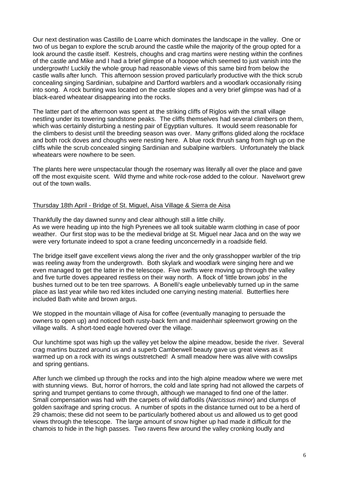Our next destination was Castillo de Loarre which dominates the landscape in the valley. One or two of us began to explore the scrub around the castle while the majority of the group opted for a look around the castle itself. Kestrels, choughs and crag martins were nesting within the confines of the castle and Mike and I had a brief glimpse of a hoopoe which seemed to just vanish into the undergrowth! Luckily the whole group had reasonable views of this same bird from below the castle walls after lunch. This afternoon session proved particularly productive with the thick scrub concealing singing Sardinian, subalpine and Dartford warblers and a woodlark occasionally rising into song. A rock bunting was located on the castle slopes and a very brief glimpse was had of a black-eared wheatear disappearing into the rocks.

The latter part of the afternoon was spent at the striking cliffs of Riglos with the small village nestling under its towering sandstone peaks. The cliffs themselves had several climbers on them, which was certainly disturbing a nesting pair of Egyptian vultures. It would seem reasonable for the climbers to desist until the breeding season was over. Many griffons glided along the rockface and both rock doves and choughs were nesting here. A blue rock thrush sang from high up on the cliffs while the scrub concealed singing Sardinian and subalpine warblers. Unfortunately the black wheatears were nowhere to be seen.

The plants here were unspectacular though the rosemary was literally all over the place and gave off the most exquisite scent. Wild thyme and white rock-rose added to the colour. Navelwort grew out of the town walls.

#### Thursday 18th April - Bridge of St. Miguel, Aisa Village & Sierra de Aisa

Thankfully the day dawned sunny and clear although still a little chilly. As we were heading up into the high Pyrenees we all took suitable warm clothing in case of poor weather. Our first stop was to be the medieval bridge at St. Miguel near Jaca and on the way we were very fortunate indeed to spot a crane feeding unconcernedly in a roadside field.

The bridge itself gave excellent views along the river and the only grasshopper warbler of the trip was reeling away from the undergrowth. Both skylark and woodlark were singing here and we even managed to get the latter in the telescope. Five swifts were moving up through the valley and five turtle doves appeared restless on their way north. A flock of 'little brown jobs' in the bushes turned out to be ten tree sparrows. A Bonelli's eagle unbelievably turned up in the same place as last year while two red kites included one carrying nesting material. Butterflies here included Bath white and brown argus.

We stopped in the mountain village of Aisa for coffee (eventually managing to persuade the owners to open up) and noticed both rusty-back fern and maidenhair spleenwort growing on the village walls. A short-toed eagle hovered over the village.

Our lunchtime spot was high up the valley yet below the alpine meadow, beside the river. Several crag martins buzzed around us and a superb Camberwell beauty gave us great views as it warmed up on a rock with its wings outstretched! A small meadow here was alive with cowslips and spring gentians.

After lunch we climbed up through the rocks and into the high alpine meadow where we were met with stunning views. But, horror of horrors, the cold and late spring had not allowed the carpets of spring and trumpet gentians to come through, although we managed to find one of the latter. Small compensation was had with the carpets of wild daffodils (*Narcissus minor*) and clumps of golden saxifrage and spring crocus. A number of spots in the distance turned out to be a herd of 29 chamois; these did not seem to be particularly bothered about us and allowed us to get good views through the telescope. The large amount of snow higher up had made it difficult for the chamois to hide in the high passes. Two ravens flew around the valley cronking loudly and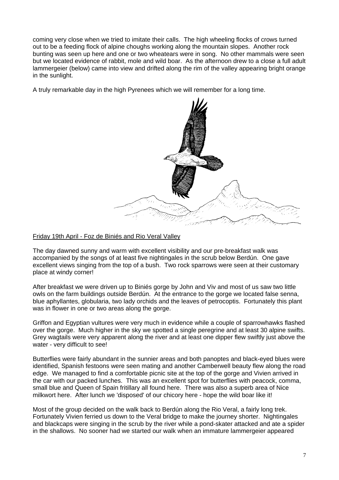coming very close when we tried to imitate their calls. The high wheeling flocks of crows turned out to be a feeding flock of alpine choughs working along the mountain slopes. Another rock bunting was seen up here and one or two wheatears were in song. No other mammals were seen but we located evidence of rabbit, mole and wild boar. As the afternoon drew to a close a full adult lammergeier (below) came into view and drifted along the rim of the valley appearing bright orange in the sunlight.

A truly remarkable day in the high Pyrenees which we will remember for a long time.



## Friday 19th April - Foz de Biniés and Rio Veral Valley

The day dawned sunny and warm with excellent visibility and our pre-breakfast walk was accompanied by the songs of at least five nightingales in the scrub below Berdún. One gave excellent views singing from the top of a bush. Two rock sparrows were seen at their customary place at windy corner!

After breakfast we were driven up to Biniés gorge by John and Viv and most of us saw two little owls on the farm buildings outside Berdún. At the entrance to the gorge we located false senna, blue aphyllantes, globularia, two lady orchids and the leaves of petrocoptis. Fortunately this plant was in flower in one or two areas along the gorge.

Griffon and Egyptian vultures were very much in evidence while a couple of sparrowhawks flashed over the gorge. Much higher in the sky we spotted a single peregrine and at least 30 alpine swifts. Grey wagtails were very apparent along the river and at least one dipper flew swiftly just above the water - very difficult to see!

Butterflies were fairly abundant in the sunnier areas and both panoptes and black-eyed blues were identified, Spanish festoons were seen mating and another Camberwell beauty flew along the road edge. We managed to find a comfortable picnic site at the top of the gorge and Vivien arrived in the car with our packed lunches. This was an excellent spot for butterflies with peacock, comma, small blue and Queen of Spain fritillary all found here. There was also a superb area of Nice milkwort here. After lunch we 'disposed' of our chicory here - hope the wild boar like it!

Most of the group decided on the walk back to Berdún along the Rio Veral, a fairly long trek. Fortunately Vivien ferried us down to the Veral bridge to make the journey shorter. Nightingales and blackcaps were singing in the scrub by the river while a pond-skater attacked and ate a spider in the shallows. No sooner had we started our walk when an immature lammergeier appeared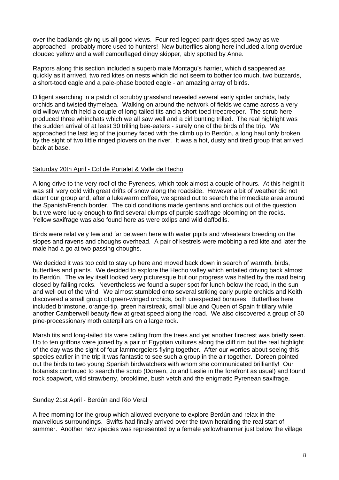over the badlands giving us all good views. Four red-legged partridges sped away as we approached - probably more used to hunters! New butterflies along here included a long overdue clouded yellow and a well camouflaged dingy skipper, ably spotted by Anne.

Raptors along this section included a superb male Montagu's harrier, which disappeared as quickly as it arrived, two red kites on nests which did not seem to bother too much, two buzzards, a short-toed eagle and a pale-phase booted eagle - an amazing array of birds.

Diligent searching in a patch of scrubby grassland revealed several early spider orchids, lady orchids and twisted thymelaea. Walking on around the network of fields we came across a very old willow which held a couple of long-tailed tits and a short-toed treecreeper. The scrub here produced three whinchats which we all saw well and a cirl bunting trilled. The real highlight was the sudden arrival of at least 30 trilling bee-eaters - surely one of the birds of the trip. We approached the last leg of the journey faced with the climb up to Berdún, a long haul only broken by the sight of two little ringed plovers on the river. It was a hot, dusty and tired group that arrived back at base.

## Saturday 20th April - Col de Portalet & Valle de Hecho

A long drive to the very roof of the Pyrenees, which took almost a couple of hours. At this height it was still very cold with great drifts of snow along the roadside. However a bit of weather did not daunt our group and, after a lukewarm coffee, we spread out to search the immediate area around the Spanish/French border. The cold conditions made gentians and orchids out of the question but we were lucky enough to find several clumps of purple saxifrage blooming on the rocks. Yellow saxifrage was also found here as were oxlips and wild daffodils.

Birds were relatively few and far between here with water pipits and wheatears breeding on the slopes and ravens and choughs overhead. A pair of kestrels were mobbing a red kite and later the male had a go at two passing choughs.

We decided it was too cold to stay up here and moved back down in search of warmth, birds, butterflies and plants. We decided to explore the Hecho valley which entailed driving back almost to Berdún. The valley itself looked very picturesque but our progress was halted by the road being closed by falling rocks. Nevertheless we found a super spot for lunch below the road, in the sun and well out of the wind. We almost stumbled onto several striking early purple orchids and Keith discovered a small group of green-winged orchids, both unexpected bonuses. Butterflies here included brimstone, orange-tip, green hairstreak, small blue and Queen of Spain fritillary while another Camberwell beauty flew at great speed along the road. We also discovered a group of 30 pine-processionary moth caterpillars on a large rock.

Marsh tits and long-tailed tits were calling from the trees and yet another firecrest was briefly seen. Up to ten griffons were joined by a pair of Egyptian vultures along the cliff rim but the real highlight of the day was the sight of four lammergeiers flying together. After our worries about seeing this species earlier in the trip it was fantastic to see such a group in the air together. Doreen pointed out the birds to two young Spanish birdwatchers with whom she communicated brilliantly! Our botanists continued to search the scrub (Doreen, Jo and Leslie in the forefront as usual) and found rock soapwort, wild strawberry, brooklime, bush vetch and the enigmatic Pyrenean saxifrage.

# Sunday 21st April - Berdún and Rio Veral

A free morning for the group which allowed everyone to explore Berdún and relax in the marvellous surroundings. Swifts had finally arrived over the town heralding the real start of summer. Another new species was represented by a female yellowhammer just below the village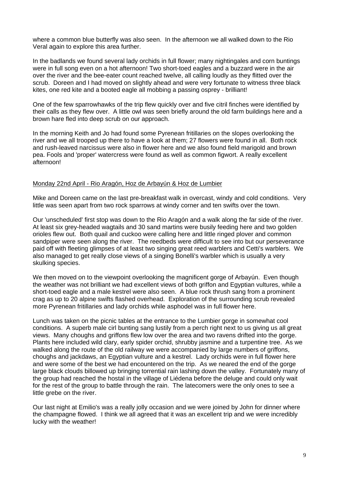where a common blue butterfly was also seen. In the afternoon we all walked down to the Rio Veral again to explore this area further.

In the badlands we found several lady orchids in full flower; many nightingales and corn buntings were in full song even on a hot afternoon! Two short-toed eagles and a buzzard were in the air over the river and the bee-eater count reached twelve, all calling loudly as they flitted over the scrub. Doreen and I had moved on slightly ahead and were very fortunate to witness three black kites, one red kite and a booted eagle all mobbing a passing osprey - brilliant!

One of the few sparrowhawks of the trip flew quickly over and five citril finches were identified by their calls as they flew over. A little owl was seen briefly around the old farm buildings here and a brown hare fled into deep scrub on our approach.

In the morning Keith and Jo had found some Pyrenean fritillaries on the slopes overlooking the river and we all trooped up there to have a look at them; 27 flowers were found in all. Both rock and rush-leaved narcissus were also in flower here and we also found field marigold and brown pea. Fools and 'proper' watercress were found as well as common figwort. A really excellent afternoon!

#### Monday 22nd April - Rio Aragón, Hoz de Arbayún & Hoz de Lumbier

Mike and Doreen came on the last pre-breakfast walk in overcast, windy and cold conditions. Very little was seen apart from two rock sparrows at windy corner and ten swifts over the town.

Our 'unscheduled' first stop was down to the Rio Aragón and a walk along the far side of the river. At least six grey-headed wagtails and 30 sand martins were busily feeding here and two golden orioles flew out. Both quail and cuckoo were calling here and little ringed plover and common sandpiper were seen along the river. The reedbeds were difficult to see into but our perseverance paid off with fleeting glimpses of at least two singing great reed warblers and Cetti's warblers. We also managed to get really close views of a singing Bonelli's warbler which is usually a very skulking species.

We then moved on to the viewpoint overlooking the magnificent gorge of Arbayún. Even though the weather was not brilliant we had excellent views of both griffon and Egyptian vultures, while a short-toed eagle and a male kestrel were also seen. A blue rock thrush sang from a prominent crag as up to 20 alpine swifts flashed overhead. Exploration of the surrounding scrub revealed more Pyrenean fritillaries and lady orchids while asphodel was in full flower here.

Lunch was taken on the picnic tables at the entrance to the Lumbier gorge in somewhat cool conditions. A superb male cirl bunting sang lustily from a perch right next to us giving us all great views. Many choughs and griffons flew low over the area and two ravens drifted into the gorge. Plants here included wild clary, early spider orchid, shrubby jasmine and a turpentine tree. As we walked along the route of the old railway we were accompanied by large numbers of griffons, choughs and jackdaws, an Egyptian vulture and a kestrel. Lady orchids were in full flower here and were some of the best we had encountered on the trip. As we neared the end of the gorge large black clouds billowed up bringing torrential rain lashing down the valley. Fortunately many of the group had reached the hostal in the village of Liédena before the deluge and could only wait for the rest of the group to battle through the rain. The latecomers were the only ones to see a little grebe on the river.

Our last night at Emilio's was a really jolly occasion and we were joined by John for dinner where the champagne flowed. I think we all agreed that it was an excellent trip and we were incredibly lucky with the weather!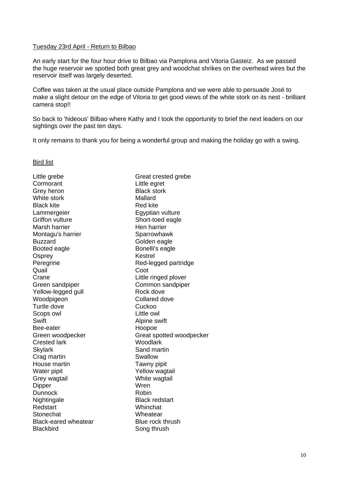#### Tuesday 23rd April - Return to Bilbao

An early start for the four hour drive to Bilbao via Pamplona and Vitoria Gasteiz. As we passed the huge reservoir we spotted both great grey and woodchat shrikes on the overhead wires but the reservoir itself was largely deserted.

Coffee was taken at the usual place outside Pamplona and we were able to persuade José to make a slight detour on the edge of Vitoria to get good views of the white stork on its nest - brilliant camera stop!!

So back to 'hideous' Bilbao where Kathy and I took the opportunity to brief the next leaders on our sightings over the past ten days.

It only remains to thank you for being a wonderful group and making the holiday go with a swing.

Bird list

| Little grebe                | Great crested grebe      |
|-----------------------------|--------------------------|
| Cormorant                   | Little egret             |
| Grey heron                  | <b>Black stork</b>       |
| White stork                 | Mallard                  |
| <b>Black kite</b>           | <b>Red kite</b>          |
| Lammergeier                 | Egyptian vulture         |
| <b>Griffon vulture</b>      | Short-toed eagle         |
| Marsh harrier               | Hen harrier              |
| Montagu's harrier           | Sparrowhawk              |
| <b>Buzzard</b>              | Golden eagle             |
| Booted eagle                | Bonelli's eagle          |
| Osprey                      | Kestrel                  |
| Peregrine                   | Red-legged partridge     |
| Quail                       | Coot                     |
| Crane                       | Little ringed plover     |
| Green sandpiper             | Common sandpiper         |
| Yellow-legged gull          | Rock dove                |
| Woodpigeon                  | Collared dove            |
| Turtle dove                 | Cuckoo                   |
| Scops owl                   | Little owl               |
| Swift                       | Alpine swift             |
| Bee-eater                   | Hoopoe                   |
| Green woodpecker            | Great spotted woodpecker |
| <b>Crested lark</b>         | Woodlark                 |
| <b>Skylark</b>              | Sand martin              |
| Crag martin                 | Swallow                  |
| House martin                | Tawny pipit              |
| Water pipit                 | Yellow wagtail           |
| Grey wagtail                | White wagtail            |
| Dipper                      | Wren                     |
| <b>Dunnock</b>              | Robin                    |
| Nightingale                 | <b>Black redstart</b>    |
| Redstart                    | Whinchat                 |
| Stonechat                   | Wheatear                 |
| <b>Black-eared wheatear</b> | Blue rock thrush         |
| <b>Blackbird</b>            | Song thrush              |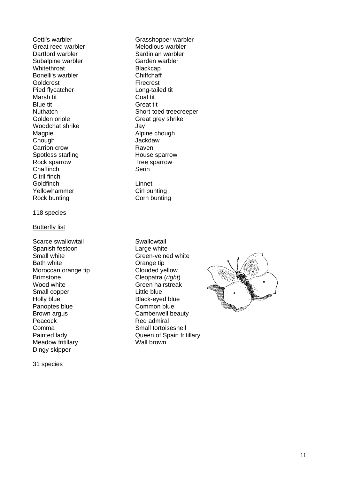Subalpine warbler Garden warbler Whitethroat **Blackcap** Bonelli's warbler **Chiffchaff** Goldcrest **Firecrest** Pied flycatcher Long-tailed tit<br>
Marsh tit Coal tit Marsh tit Blue tit<br>
Nuthatch<br>
Nuthatch<br>
Great tit Golden oriole Great grey shrike Woodchat shrike **Jay** Magpie **Alpine chough** Chough Jackdaw Carrion crow Carrion crow Raven<br>
Spotless starling Controller Changes Boarrow Spotless starling Rock sparrow Tree sparrow Chaffinch Serin Citril finch Goldfinch Linnet Yellowhammer Cirl bunting Rock bunting Corn bunting

#### 118 species

#### Butterfly list

Scarce swallowtail **Scarce** swallowtail Spanish festoon Large white Small white Green-veined white Bath white **Dramage Communist Communist Communist Communist Communist Communist Communist Communist Communist Communist Communist Communist Communist Communist Communist Communist Communist Communist Communist Communist Co** Moroccan orange tip Clouded yellow<br>Brimstone Cleopatra (right Wood white **Green hairstreak** Small copper Little blue Holly blue Black-eyed blue Panoptes blue Common blue Brown argus **Camberwell** beauty Peacock Red admiral Comma<br>
Painted lady<br>
Painted lady<br>
Cueen of Spain frit Meadow fritillary **Wall brown** Dingy skipper

31 species

Cetti's warbler Grasshopper warbler Great reed warbler **Melodious warbler**<br>
Dartford warbler **Melogies** Sardinian warbler Sardinian warbler Short-toed treecreeper

Cleopatra (*right*) Queen of Spain fritillary

![](_page_10_Picture_8.jpeg)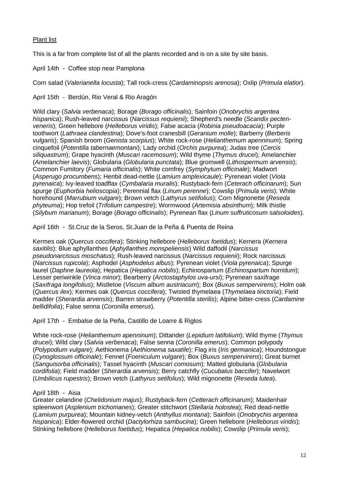# Plant list

This is a far from complete list of all the plants recorded and is on a site by site basis.

April 14th - Coffee stop near Pamplona

Corn salad (*Valerianella locusta*); Tall rock-cress (*Cardaminopsis arenosa*); Oxlip (*Primula elatior*).

April 15th - Berdún, Rio Veral & Rio Aragón

Wild clary (*Salvia verbenaca*); Borage (*Borago officinalis*); Sainfoin (*Onobrychis argentea hispanica*); Rush-leaved narcissus (*Narcissus requienii*); Shepherd's needle (*Scandix pectenveneris*); Green hellebore (*Helleborus viridis*); False acacia (*Robinia pseudoacacia*); Purple toothwort (*Lathraea clandestina*); Dove's-foot cranesbill (*Geranium molle*); Barberry (*Berberis vulgaris*); Spanish broom (*Genista scorpius*); White rock-rose (*Helianthemum apenninum*); Spring cinquefoil (*Potentilla tabernaemontani*); Lady orchid (*Orchis purpurea*); Judas tree (*Cercis siliquastrum*); Grape hyacinth (*Muscari racemosum*); Wild thyme (*Thymus drucei*); Amelanchier (*Amelanchier laevis*); Globularia (*Globularia punctata*); Blue gromwell (*Lithospermum arvensis*); Common Fumitory (*Fumaria officinalis*); White comfrey (*Symphytum officinale*); Madwort (*Asperugo procumbens*); Henbit dead-nettle (*Lamium amplexicaule*); Pyrenean violet (*Viola pyrenaica*); Ivy-leaved toadflax (*Cymbalaria muralis*); Rustyback-fern (*Ceterach officinarum*); Sun spurge (*Euphorbia helioscopia*); Perennial flax (*Linum perenne*); Cowslip (*Primula veris*); White horehound (*Marrubium vulgare*); Brown vetch (*Lathyrus setifolius*); Corn Mignonette (*Reseda phyteuma*); Hop trefoil (*Trifolium campestre*); Wormwood (*Artemisia absinthum*); Milk thistle (*Silybum marianum*); Borage (*Borago officinalis*); Pyrenean flax (*Linum suffruticosum salsoloides*).

April 16th - St.Cruz de la Seros, St.Juan de la Peña & Puenta de Reina

Kermes oak (*Quercus coccifera*); Stinking hellebore (*Helleborus foetidus*); Kernera (*Kernera saxitilis*); Blue aphyllanthes (*Aphyllanthes monspeliensis*) Wild daffodil (*Narcissus pseudonarcissus moschatus*); Rush-leaved narcissus (*Narcissus requienii*); Rock narcissus (*Narcissus rupicola*); Asphodel (*Asphodelus albus*); Pyrenean violet (*Viola pyrenaica*); Spurge laurel (*Daphne laureola*); Hepatica (*Hepatica nobilis*); Echinospartum (*Echinospartum horridum*); Lesser periwinkle (*Vinca minor*); Bearberry (*Arctostaphylos uva-ursi*); Pyrenean saxifrage (*Saxifraga longifolius*); Mistletoe (*Viscum album austriacum*); Box (*Buxus sempervirens*); Holm oak (*Quercus ilex*); Kermes oak (*Quercus coccifera*); Twisted thymelaea (*Thymelaea tinctoria*); Field madder (*Sherardia arvensis*); Barren strawberry (*Potentilla sterilis*); Alpine bitter-cress (*Cardamine bellidifolia*); False senna (*Coronilla emerus*).

April 17th - Embalse de la Peña, Castillo de Loarre & Riglos

White rock-rose (*Helianthemum apenninum*); Dittander (*Lepidium latifolium*); Wild thyme (*Thymus drucei*); Wild clary (*Salvia verbenaca*); False senna (*Coronilla emerus*); Common polypody (*Polypodium vulgare*); Aethionema (*Aethionema saxatile*); Flag iris (*Iris germanica*); Houndstongue (*Cynoglossum officinale*); Fennel (*Foeniculum vulgare*); Box (*Buxus sempervirens*); Great burnet (*Sanguisorba officinalis*); Tassel hyacinth (*Muscari comosum*); Matted globularia (*Globularia cordifolia*); Field madder (*Sherardia arvensis*); Berry catchfly (*Cucubalus baccifer*); Navelwort (*Umbilicus rupestris*); Brown vetch (*Lathyrus setifolius*); Wild mignonette (*Reseda lutea*).

# April 18th - Aisa

Greater celandine (*Chelidonium majus*); Rustyback-fern (*Cetterach officinarum*); Maidenhair spleenwort (*Asplenium trichomanes*); Greater stitchwort (*Stellaria holostea*); Red dead-nettle (*Lamium purpurea*); Mountain kidney-vetch (*Anthyllus montana*); Sainfoin (*Onobrychis argentea hispanica*); Elder-flowered orchid (*Dactylorhiza sambucina*); Green hellebore (*Helleborus viridis*); Stinking hellebore (*Helleborus foetidus*); Hepatica (*Hepatica nobilis*); Cowslip (*Primula veris*);